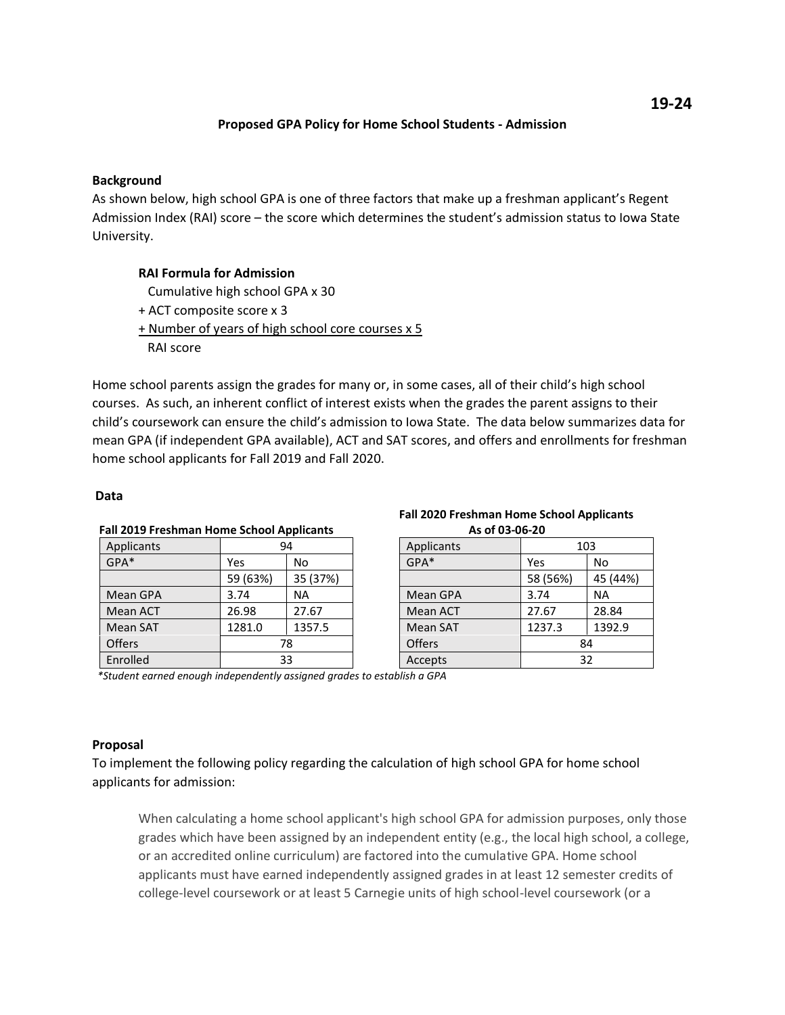# **Proposed GPA Policy for Home School Students - Admission**

## **Background**

As shown below, high school GPA is one of three factors that make up a freshman applicant's Regent Admission Index (RAI) score – the score which determines the student's admission status to Iowa State University.

# **RAI Formula for Admission**

Cumulative high school GPA x 30

- + ACT composite score x 3
- + Number of years of high school core courses x 5

RAI score

Home school parents assign the grades for many or, in some cases, all of their child's high school courses. As such, an inherent conflict of interest exists when the grades the parent assigns to their child's coursework can ensure the child's admission to Iowa State. The data below summarizes data for mean GPA (if independent GPA available), ACT and SAT scores, and offers and enrollments for freshman home school applicants for Fall 2019 and Fall 2020.

### **Data**

| <b>Fall 2019 Freshman Home School Applicants</b> |          |          |  |
|--------------------------------------------------|----------|----------|--|
| Applicants                                       | 94       |          |  |
| GPA*                                             | Yes      | No       |  |
|                                                  | 59 (63%) | 35 (37%) |  |
| Mean GPA                                         | 3.74     | NA       |  |
| Mean ACT                                         | 26.98    | 27.67    |  |
| Mean SAT                                         | 1281.0   | 1357.5   |  |
| Offers                                           | 78       |          |  |
| Enrolled                                         | 33       |          |  |

#### **Fall 2020 Freshman Home School Applicants As of 03-06-20**

| Applicants | 103      |          |  |  |
|------------|----------|----------|--|--|
| GPA*       | Yes      | No       |  |  |
|            | 58 (56%) | 45 (44%) |  |  |
| Mean GPA   | 3.74     | NA       |  |  |
| Mean ACT   | 27.67    | 28.84    |  |  |
| Mean SAT   | 1237.3   | 1392.9   |  |  |
| Offers     | 84       |          |  |  |
| Accepts    | 32       |          |  |  |

 *\*Student earned enough independently assigned grades to establish a GPA*

# **Proposal**

To implement the following policy regarding the calculation of high school GPA for home school applicants for admission:

When calculating a home school applicant's high school GPA for admission purposes, only those grades which have been assigned by an independent entity (e.g., the local high school, a college, or an accredited online curriculum) are factored into the cumulative GPA. Home school applicants must have earned independently assigned grades in at least 12 semester credits of college-level coursework or at least 5 Carnegie units of high school-level coursework (or a